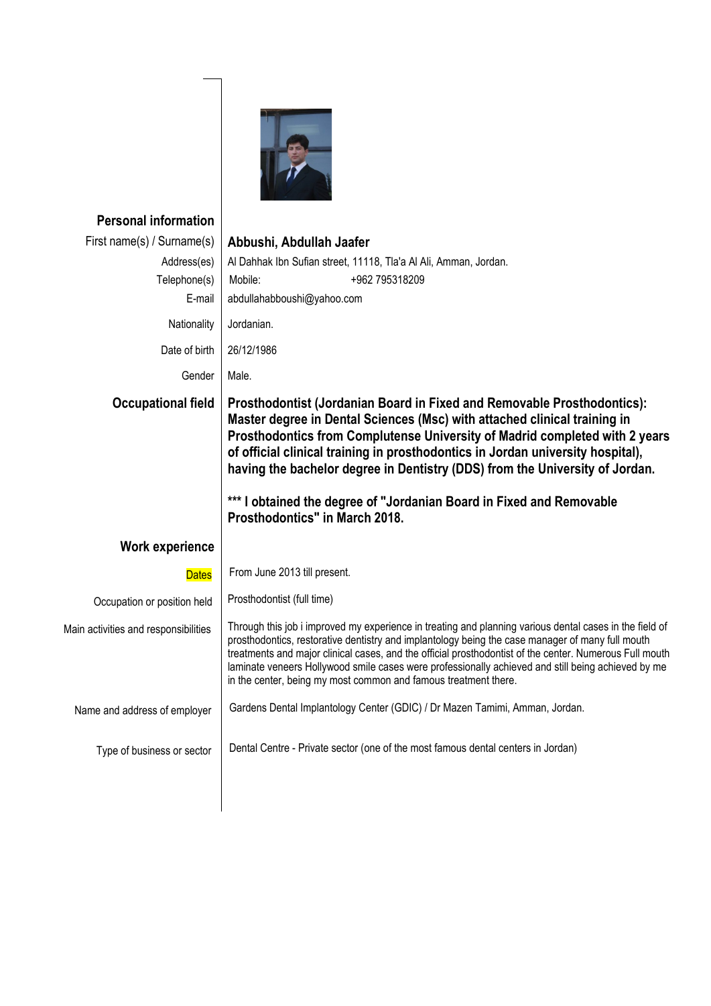

## **Personal information**

| Abbushi, Abdullah Jaafer                                                                                                                                                                                                                                                                                                                                                                                                                                                                        |
|-------------------------------------------------------------------------------------------------------------------------------------------------------------------------------------------------------------------------------------------------------------------------------------------------------------------------------------------------------------------------------------------------------------------------------------------------------------------------------------------------|
| Al Dahhak Ibn Sufian street, 11118, Tla'a Al Ali, Amman, Jordan.                                                                                                                                                                                                                                                                                                                                                                                                                                |
| Mobile:<br>+962 795318209                                                                                                                                                                                                                                                                                                                                                                                                                                                                       |
| abdullahabboushi@yahoo.com                                                                                                                                                                                                                                                                                                                                                                                                                                                                      |
| Jordanian.                                                                                                                                                                                                                                                                                                                                                                                                                                                                                      |
| 26/12/1986                                                                                                                                                                                                                                                                                                                                                                                                                                                                                      |
| Male.                                                                                                                                                                                                                                                                                                                                                                                                                                                                                           |
| Prosthodontist (Jordanian Board in Fixed and Removable Prosthodontics):<br>Master degree in Dental Sciences (Msc) with attached clinical training in<br>Prosthodontics from Complutense University of Madrid completed with 2 years<br>of official clinical training in prosthodontics in Jordan university hospital),<br>having the bachelor degree in Dentistry (DDS) from the University of Jordan.                                                                                          |
| *** I obtained the degree of "Jordanian Board in Fixed and Removable<br>Prosthodontics" in March 2018.                                                                                                                                                                                                                                                                                                                                                                                          |
|                                                                                                                                                                                                                                                                                                                                                                                                                                                                                                 |
| From June 2013 till present.                                                                                                                                                                                                                                                                                                                                                                                                                                                                    |
| Prosthodontist (full time)                                                                                                                                                                                                                                                                                                                                                                                                                                                                      |
| Through this job i improved my experience in treating and planning various dental cases in the field of<br>prosthodontics, restorative dentistry and implantology being the case manager of many full mouth<br>treatments and major clinical cases, and the official prosthodontist of the center. Numerous Full mouth<br>laminate veneers Hollywood smile cases were professionally achieved and still being achieved by me<br>in the center, being my most common and famous treatment there. |
| Gardens Dental Implantology Center (GDIC) / Dr Mazen Tamimi, Amman, Jordan.                                                                                                                                                                                                                                                                                                                                                                                                                     |
| Dental Centre - Private sector (one of the most famous dental centers in Jordan)                                                                                                                                                                                                                                                                                                                                                                                                                |
|                                                                                                                                                                                                                                                                                                                                                                                                                                                                                                 |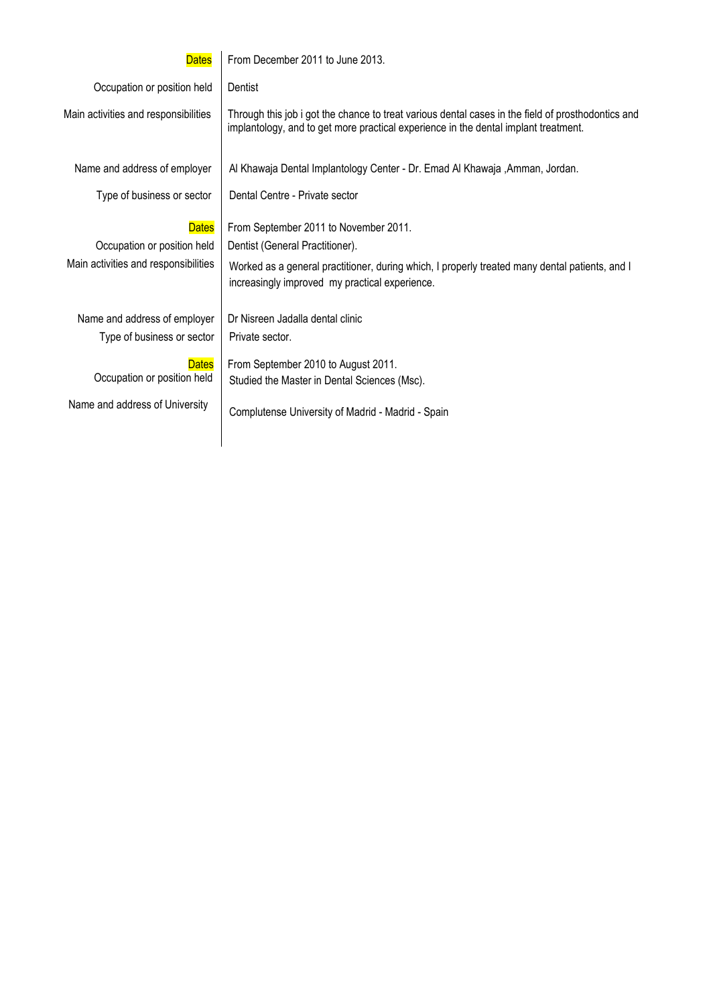## **Dates**

From December 2011 to June 2013.

 Occupation or position held **Dentist** 

 Main activities and responsibilities Through this job i got the chance to treat various dental cases in the field of prosthodontics and implantology, and to get more practical experience in the dental implant treatment.

Name and address of employer

Type of business or sector

Dates | From September 2011 to November 2011. Occupation or position held | Dentist (General Practitioner). Main activities and responsibilities | Worked as a general practitioner, during which, I properly treated many dental patients, and I increasingly improved my practical experience.

Al Khawaja Dental Implantology Center - Dr. Emad Al Khawaja ,Amman, Jordan.

Type of business or sector

Name and address of employer  $\vert$  Dr Nisreen Jadalla dental clinic Private sector.

Dental Centre - Private sector

**Dates**  Occupation or position held From September 2010 to August 2011. Studied the Master in Dental Sciences (Msc).

Name and address of University

Complutense University of Madrid - Madrid - Spain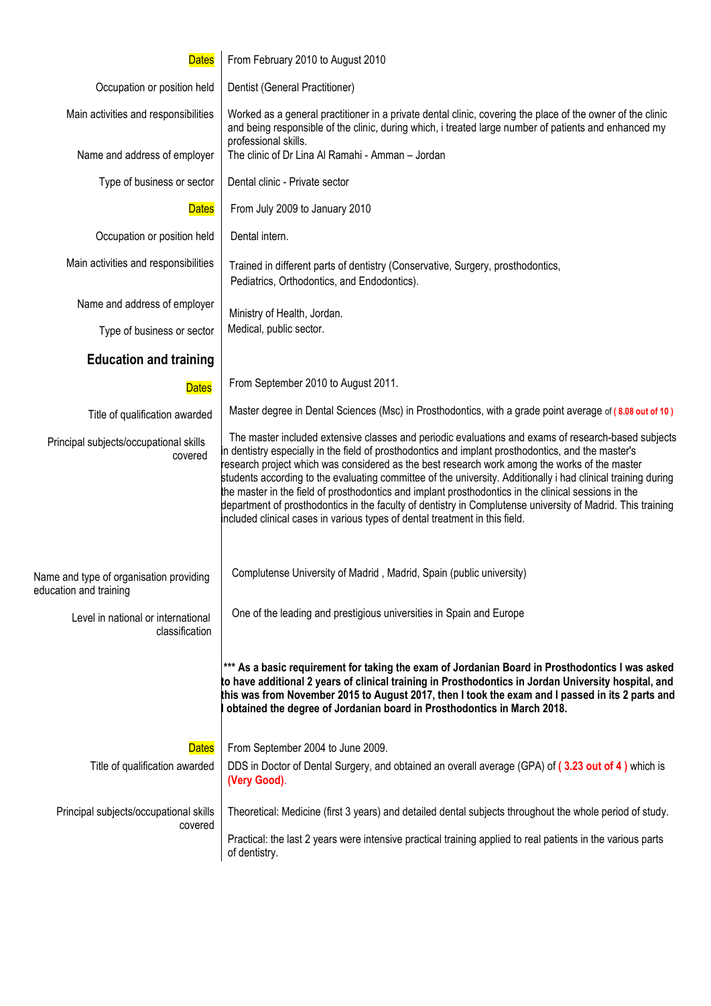| <b>Dates</b>                                                      | From February 2010 to August 2010                                                                                                                                                                                                                                                                                                                                                                                                                                                                                                                                                                                                                                                                                                  |
|-------------------------------------------------------------------|------------------------------------------------------------------------------------------------------------------------------------------------------------------------------------------------------------------------------------------------------------------------------------------------------------------------------------------------------------------------------------------------------------------------------------------------------------------------------------------------------------------------------------------------------------------------------------------------------------------------------------------------------------------------------------------------------------------------------------|
| Occupation or position held                                       | Dentist (General Practitioner)                                                                                                                                                                                                                                                                                                                                                                                                                                                                                                                                                                                                                                                                                                     |
| Main activities and responsibilities                              | Worked as a general practitioner in a private dental clinic, covering the place of the owner of the clinic<br>and being responsible of the clinic, during which, i treated large number of patients and enhanced my<br>professional skills.                                                                                                                                                                                                                                                                                                                                                                                                                                                                                        |
| Name and address of employer                                      | The clinic of Dr Lina Al Ramahi - Amman - Jordan                                                                                                                                                                                                                                                                                                                                                                                                                                                                                                                                                                                                                                                                                   |
| Type of business or sector                                        | Dental clinic - Private sector                                                                                                                                                                                                                                                                                                                                                                                                                                                                                                                                                                                                                                                                                                     |
| <b>Dates</b>                                                      | From July 2009 to January 2010                                                                                                                                                                                                                                                                                                                                                                                                                                                                                                                                                                                                                                                                                                     |
| Occupation or position held                                       | Dental intern.                                                                                                                                                                                                                                                                                                                                                                                                                                                                                                                                                                                                                                                                                                                     |
| Main activities and responsibilities                              | Trained in different parts of dentistry (Conservative, Surgery, prosthodontics,<br>Pediatrics, Orthodontics, and Endodontics).                                                                                                                                                                                                                                                                                                                                                                                                                                                                                                                                                                                                     |
| Name and address of employer                                      | Ministry of Health, Jordan.                                                                                                                                                                                                                                                                                                                                                                                                                                                                                                                                                                                                                                                                                                        |
| Type of business or sector                                        | Medical, public sector.                                                                                                                                                                                                                                                                                                                                                                                                                                                                                                                                                                                                                                                                                                            |
| <b>Education and training</b>                                     |                                                                                                                                                                                                                                                                                                                                                                                                                                                                                                                                                                                                                                                                                                                                    |
| <b>Dates</b>                                                      | From September 2010 to August 2011.                                                                                                                                                                                                                                                                                                                                                                                                                                                                                                                                                                                                                                                                                                |
| Title of qualification awarded                                    | Master degree in Dental Sciences (Msc) in Prosthodontics, with a grade point average of (8.08 out of 10)                                                                                                                                                                                                                                                                                                                                                                                                                                                                                                                                                                                                                           |
| Principal subjects/occupational skills<br>covered                 | The master included extensive classes and periodic evaluations and exams of research-based subjects<br>in dentistry especially in the field of prosthodontics and implant prosthodontics, and the master's<br>research project which was considered as the best research work among the works of the master<br>students according to the evaluating committee of the university. Additionally i had clinical training during<br>the master in the field of prosthodontics and implant prosthodontics in the clinical sessions in the<br>department of prosthodontics in the faculty of dentistry in Complutense university of Madrid. This training<br>included clinical cases in various types of dental treatment in this field. |
| Name and type of organisation providing<br>education and training | Complutense University of Madrid, Madrid, Spain (public university)                                                                                                                                                                                                                                                                                                                                                                                                                                                                                                                                                                                                                                                                |
| Level in national or international<br>classification              | One of the leading and prestigious universities in Spain and Europe                                                                                                                                                                                                                                                                                                                                                                                                                                                                                                                                                                                                                                                                |
|                                                                   | *** As a basic requirement for taking the exam of Jordanian Board in Prosthodontics I was asked<br>to have additional 2 years of clinical training in Prosthodontics in Jordan University hospital, and<br>this was from November 2015 to August 2017, then I took the exam and I passed in its 2 parts and<br>obtained the degree of Jordanian board in Prosthodontics in March 2018.                                                                                                                                                                                                                                                                                                                                             |
| <b>Dates</b>                                                      | From September 2004 to June 2009.                                                                                                                                                                                                                                                                                                                                                                                                                                                                                                                                                                                                                                                                                                  |
| Title of qualification awarded                                    | DDS in Doctor of Dental Surgery, and obtained an overall average (GPA) of (3.23 out of 4) which is<br>(Very Good).                                                                                                                                                                                                                                                                                                                                                                                                                                                                                                                                                                                                                 |
| Principal subjects/occupational skills                            | Theoretical: Medicine (first 3 years) and detailed dental subjects throughout the whole period of study.                                                                                                                                                                                                                                                                                                                                                                                                                                                                                                                                                                                                                           |
| covered                                                           | Practical: the last 2 years were intensive practical training applied to real patients in the various parts<br>of dentistry.                                                                                                                                                                                                                                                                                                                                                                                                                                                                                                                                                                                                       |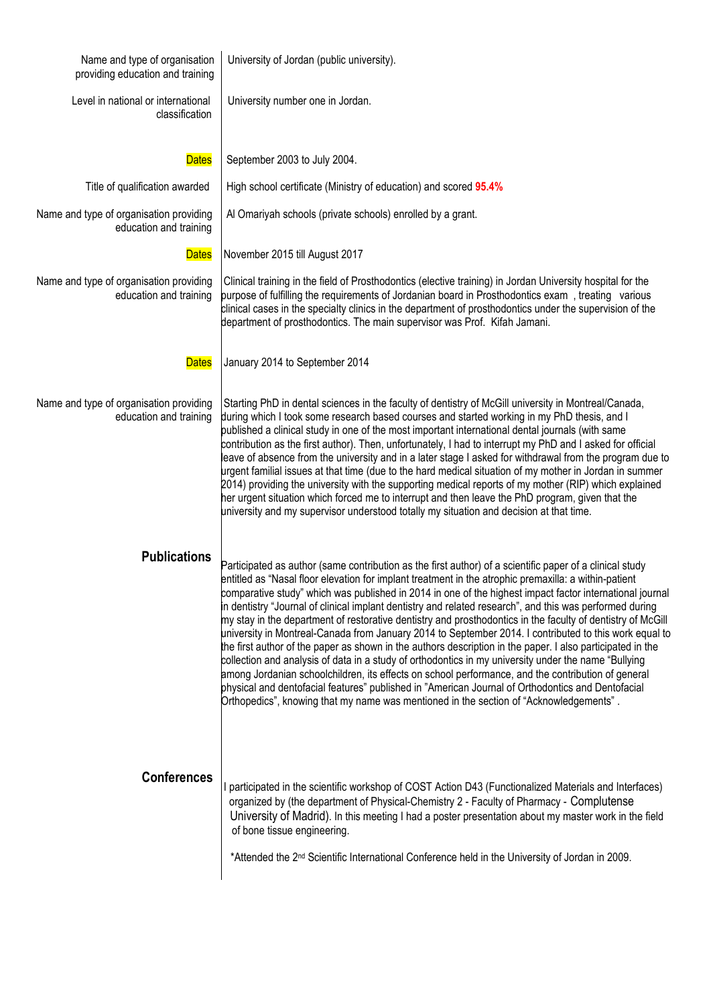| Name and type of organisation<br>providing education and training | University of Jordan (public university).                                                                                                                                                                                                                                                                                                                                                                                                                                                                                                                                                                                                                                                                                                                                                                                                                                                                                                                                                                                                                                                                                                                                                     |
|-------------------------------------------------------------------|-----------------------------------------------------------------------------------------------------------------------------------------------------------------------------------------------------------------------------------------------------------------------------------------------------------------------------------------------------------------------------------------------------------------------------------------------------------------------------------------------------------------------------------------------------------------------------------------------------------------------------------------------------------------------------------------------------------------------------------------------------------------------------------------------------------------------------------------------------------------------------------------------------------------------------------------------------------------------------------------------------------------------------------------------------------------------------------------------------------------------------------------------------------------------------------------------|
| Level in national or international<br>classification              | University number one in Jordan.                                                                                                                                                                                                                                                                                                                                                                                                                                                                                                                                                                                                                                                                                                                                                                                                                                                                                                                                                                                                                                                                                                                                                              |
| <b>Dates</b>                                                      | September 2003 to July 2004.                                                                                                                                                                                                                                                                                                                                                                                                                                                                                                                                                                                                                                                                                                                                                                                                                                                                                                                                                                                                                                                                                                                                                                  |
| Title of qualification awarded                                    | High school certificate (Ministry of education) and scored 95.4%                                                                                                                                                                                                                                                                                                                                                                                                                                                                                                                                                                                                                                                                                                                                                                                                                                                                                                                                                                                                                                                                                                                              |
| Name and type of organisation providing<br>education and training | Al Omariyah schools (private schools) enrolled by a grant.                                                                                                                                                                                                                                                                                                                                                                                                                                                                                                                                                                                                                                                                                                                                                                                                                                                                                                                                                                                                                                                                                                                                    |
| <b>Dates</b>                                                      | November 2015 till August 2017                                                                                                                                                                                                                                                                                                                                                                                                                                                                                                                                                                                                                                                                                                                                                                                                                                                                                                                                                                                                                                                                                                                                                                |
| Name and type of organisation providing<br>education and training | Clinical training in the field of Prosthodontics (elective training) in Jordan University hospital for the<br>purpose of fulfilling the requirements of Jordanian board in Prosthodontics exam, treating various<br>clinical cases in the specialty clinics in the department of prosthodontics under the supervision of the<br>department of prosthodontics. The main supervisor was Prof. Kifah Jamani.                                                                                                                                                                                                                                                                                                                                                                                                                                                                                                                                                                                                                                                                                                                                                                                     |
| <b>Dates</b>                                                      | January 2014 to September 2014                                                                                                                                                                                                                                                                                                                                                                                                                                                                                                                                                                                                                                                                                                                                                                                                                                                                                                                                                                                                                                                                                                                                                                |
| Name and type of organisation providing<br>education and training | Starting PhD in dental sciences in the faculty of dentistry of McGill university in Montreal/Canada,<br>during which I took some research based courses and started working in my PhD thesis, and I<br>published a clinical study in one of the most important international dental journals (with same<br>contribution as the first author). Then, unfortunately, I had to interrupt my PhD and I asked for official<br>leave of absence from the university and in a later stage I asked for withdrawal from the program due to<br>urgent familial issues at that time (due to the hard medical situation of my mother in Jordan in summer<br>2014) providing the university with the supporting medical reports of my mother (RIP) which explained<br>her urgent situation which forced me to interrupt and then leave the PhD program, given that the<br>university and my supervisor understood totally my situation and decision at that time.                                                                                                                                                                                                                                          |
| <b>Publications</b>                                               | Participated as author (same contribution as the first author) of a scientific paper of a clinical study<br>entitled as "Nasal floor elevation for implant treatment in the atrophic premaxilla: a within-patient<br>comparative study" which was published in 2014 in one of the highest impact factor international journal<br>in dentistry "Journal of clinical implant dentistry and related research", and this was performed during<br>my stay in the department of restorative dentistry and prosthodontics in the faculty of dentistry of McGill<br>university in Montreal-Canada from January 2014 to September 2014. I contributed to this work equal to<br>the first author of the paper as shown in the authors description in the paper. I also participated in the<br>collection and analysis of data in a study of orthodontics in my university under the name "Bullying<br>among Jordanian schoolchildren, its effects on school performance, and the contribution of general<br>physical and dentofacial features" published in "American Journal of Orthodontics and Dentofacial<br>Orthopedics", knowing that my name was mentioned in the section of "Acknowledgements". |
| <b>Conferences</b>                                                | participated in the scientific workshop of COST Action D43 (Functionalized Materials and Interfaces)<br>organized by (the department of Physical-Chemistry 2 - Faculty of Pharmacy - Complutense<br>University of Madrid). In this meeting I had a poster presentation about my master work in the field<br>of bone tissue engineering.<br>*Attended the 2 <sup>nd</sup> Scientific International Conference held in the University of Jordan in 2009.                                                                                                                                                                                                                                                                                                                                                                                                                                                                                                                                                                                                                                                                                                                                        |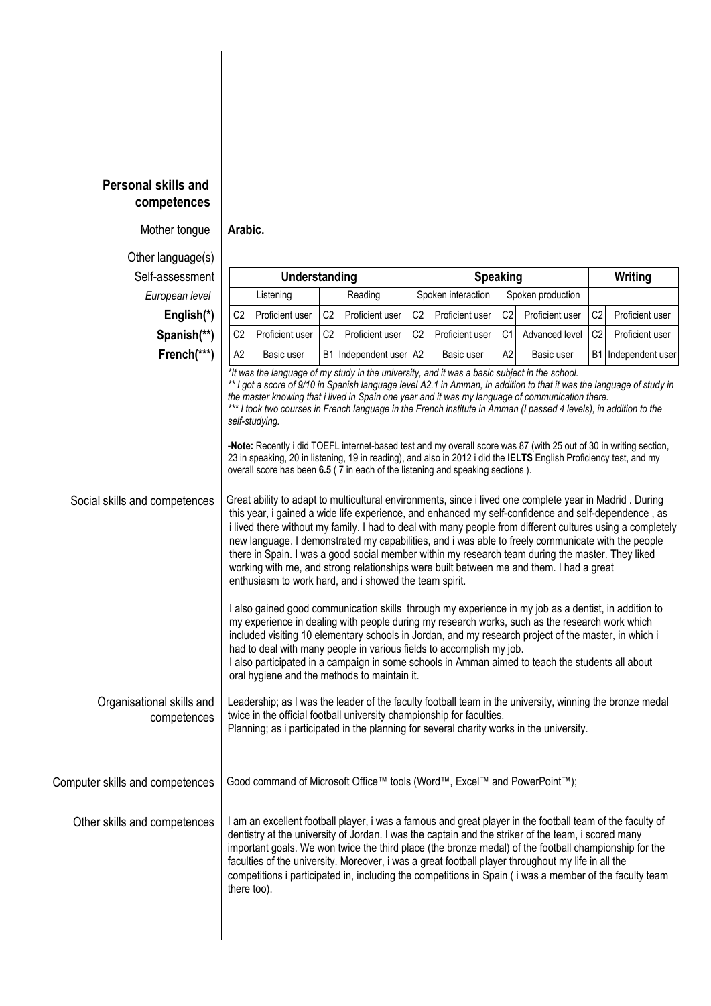## **Personal skills and competences**

Mother tongue **Arabic.**

Other language(s) Self-assessment **Understanding Speaking Writing European level | Listening | Reading | Spoken interaction | Spoken production English(\*)** | C2 Proficient user | C2 | Proficient user | C2 | Proficient user | C2 | Proficient user | C2 | Proficient user **Spanish(\*\*)** | C2 Proficient user | C2 Proficient user | C2 Proficient user | C1 | Advanced level | C2 | Proficient user **French(\*\*\*)** | A2 Basic user | B1 | Independent user | A2 Basic user | A2 Basic user | B1 | Independent user *\*It was the language of my study in the university, and it was a basic subject in the school. \*\* I got a score of 9/10 in Spanish language level A2.1 in Amman, in addition to that it was the language of study in the master knowing that i lived in Spain one year and it was my language of communication there.* \*\*\* I took two courses in French language in the French institute in Amman (I passed 4 levels), in addition to the *self-studying.* **-Note:** Recently i did TOEFL internet-based test and my overall score was 87 (with 25 out of 30 in writing section, 23 in speaking, 20 in listening, 19 in reading), and also in 2012 i did the **IELTS** English Proficiency test, and my overall score has been **6.5** ( 7 in each of the listening and speaking sections ). Social skills and competences Great ability to adapt to multicultural environments, since i lived one complete year in Madrid . During this year, i gained a wide life experience, and enhanced my self-confidence and self-dependence , as i lived there without my family. I had to deal with many people from different cultures using a completely new language. I demonstrated my capabilities, and i was able to freely communicate with the people there in Spain. I was a good social member within my research team during the master. They liked working with me, and strong relationships were built between me and them. I had a great enthusiasm to work hard, and i showed the team spirit. I also gained good communication skills through my experience in my job as a dentist, in addition to my experience in dealing with people during my research works, such as the research work which included visiting 10 elementary schools in Jordan, and my research project of the master, in which i had to deal with many people in various fields to accomplish my job. I also participated in a campaign in some schools in Amman aimed to teach the students all about oral hygiene and the methods to maintain it. Organisational skills and competences Leadership; as I was the leader of the faculty football team in the university, winning the bronze medal twice in the official football university championship for faculties. Planning; as i participated in the planning for several charity works in the university. Computer skills and competences Good command of Microsoft Office™ tools (Word™, Excel™ and PowerPoint™); Other skills and competences | I am an excellent football player, i was a famous and great player in the football team of the faculty of dentistry at the university of Jordan. I was the captain and the striker of the team, i scored many important goals. We won twice the third place (the bronze medal) of the football championship for the faculties of the university. Moreover, i was a great football player throughout my life in all the competitions i participated in, including the competitions in Spain ( i was a member of the faculty team there too).